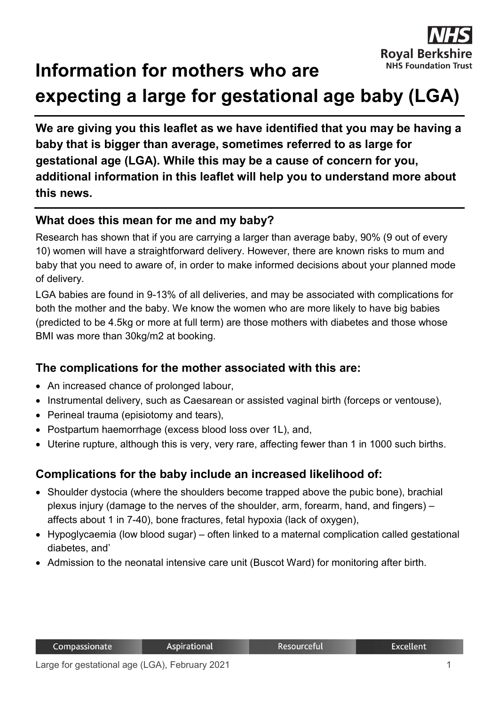

# **Information for mothers who are expecting a large for gestational age baby (LGA)**

**We are giving you this leaflet as we have identified that you may be having a baby that is bigger than average, sometimes referred to as large for gestational age (LGA). While this may be a cause of concern for you, additional information in this leaflet will help you to understand more about this news.** 

## **What does this mean for me and my baby?**

Research has shown that if you are carrying a larger than average baby, 90% (9 out of every 10) women will have a straightforward delivery. However, there are known risks to mum and baby that you need to aware of, in order to make informed decisions about your planned mode of delivery.

LGA babies are found in 9-13% of all deliveries, and may be associated with complications for both the mother and the baby. We know the women who are more likely to have big babies (predicted to be 4.5kg or more at full term) are those mothers with diabetes and those whose BMI was more than 30kg/m2 at booking.

## **The complications for the mother associated with this are:**

- An increased chance of prolonged labour,
- Instrumental delivery, such as Caesarean or assisted vaginal birth (forceps or ventouse).
- Perineal trauma (episiotomy and tears),
- Postpartum haemorrhage (excess blood loss over 1L), and,
- Uterine rupture, although this is very, very rare, affecting fewer than 1 in 1000 such births.

## **Complications for the baby include an increased likelihood of:**

- Shoulder dystocia (where the shoulders become trapped above the pubic bone), brachial plexus injury (damage to the nerves of the shoulder, arm, forearm, hand, and fingers) – affects about 1 in 7-40), bone fractures, fetal hypoxia (lack of oxygen),
- Hypoglycaemia (low blood sugar) often linked to a maternal complication called gestational diabetes, and'
- Admission to the neonatal intensive care unit (Buscot Ward) for monitoring after birth.